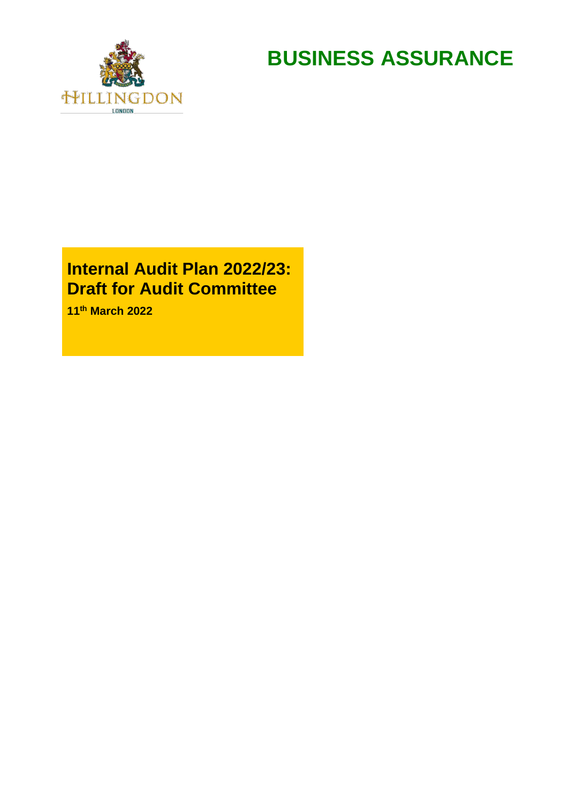

**BUSINESS ASSURANCE**

# **Internal Audit Plan 2022/23: Draft for Audit Committee**

**11th March 2022**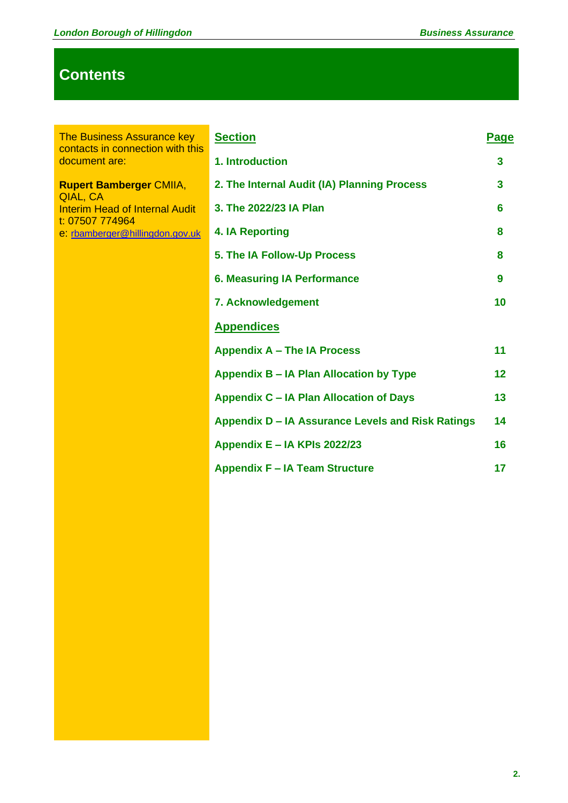# **Contents**

The Business Assurance key contacts in connection with this document are:

**Rupert Bamberger** CMIIA, QIAL, CA Interim Head of Internal Audit t: 07507 774964 e: [rbamberger@hillingdon.gov.uk](mailto:rbamberger@hillingdon.gov.uk)

|   | <b>Section</b>                                    | Page    |
|---|---------------------------------------------------|---------|
| Ś | 1. Introduction                                   | 3       |
|   | 2. The Internal Audit (IA) Planning Process       | 3       |
|   | 3. The 2022/23 IA Plan                            | 6       |
|   | <b>4. IA Reporting</b>                            | 8       |
|   | 5. The IA Follow-Up Process                       | 8       |
|   | <b>6. Measuring IA Performance</b>                | 9       |
|   | 7. Acknowledgement                                | 10      |
|   | <b>Appendices</b>                                 |         |
|   | <b>Appendix A - The IA Process</b>                | 11      |
|   | Appendix B – IA Plan Allocation by Type           | $12 \,$ |
|   | <b>Appendix C - IA Plan Allocation of Days</b>    | 13      |
|   | Appendix D - IA Assurance Levels and Risk Ratings | 14      |
|   | Appendix E - IA KPIs 2022/23                      | 16      |
|   | <b>Appendix F - IA Team Structure</b>             | 17      |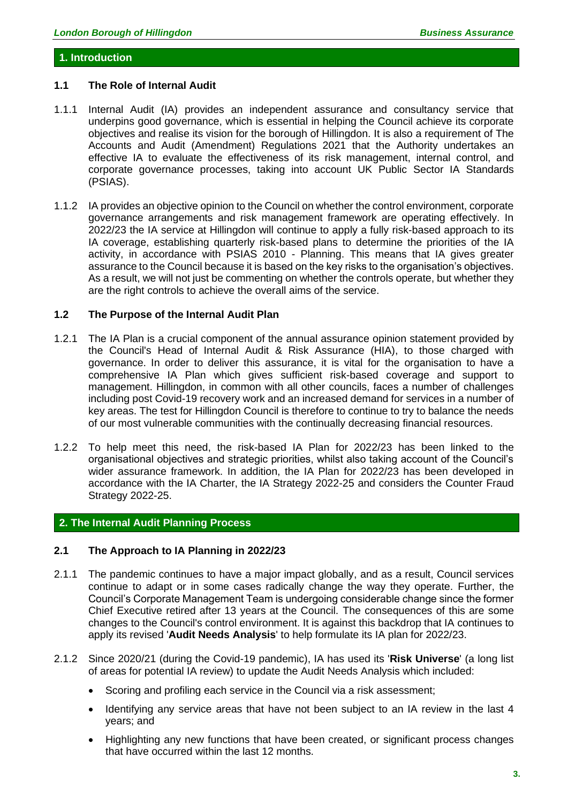#### **1. Introduction**

#### **1.1 The Role of Internal Audit**

- 1.1.1 Internal Audit (IA) provides an independent assurance and consultancy service that underpins good governance, which is essential in helping the Council achieve its corporate objectives and realise its vision for the borough of Hillingdon. It is also a requirement of The Accounts and Audit (Amendment) Regulations 2021 that the Authority undertakes an effective IA to evaluate the effectiveness of its risk management, internal control, and corporate governance processes, taking into account UK Public Sector IA Standards (PSIAS).
- 1.1.2 IA provides an objective opinion to the Council on whether the control environment, corporate governance arrangements and risk management framework are operating effectively. In 2022/23 the IA service at Hillingdon will continue to apply a fully risk-based approach to its IA coverage, establishing quarterly risk-based plans to determine the priorities of the IA activity, in accordance with PSIAS 2010 - Planning. This means that IA gives greater assurance to the Council because it is based on the key risks to the organisation's objectives. As a result, we will not just be commenting on whether the controls operate, but whether they are the right controls to achieve the overall aims of the service.

#### **1.2 The Purpose of the Internal Audit Plan**

- 1.2.1 The IA Plan is a crucial component of the annual assurance opinion statement provided by the Council's Head of Internal Audit & Risk Assurance (HIA), to those charged with governance. In order to deliver this assurance, it is vital for the organisation to have a comprehensive IA Plan which gives sufficient risk-based coverage and support to management. Hillingdon, in common with all other councils, faces a number of challenges including post Covid-19 recovery work and an increased demand for services in a number of key areas. The test for Hillingdon Council is therefore to continue to try to balance the needs of our most vulnerable communities with the continually decreasing financial resources.
- 1.2.2 To help meet this need, the risk-based IA Plan for 2022/23 has been linked to the organisational objectives and strategic priorities, whilst also taking account of the Council's wider assurance framework. In addition, the IA Plan for 2022/23 has been developed in accordance with the IA Charter, the IA Strategy 2022-25 and considers the Counter Fraud Strategy 2022-25.

#### **2. The Internal Audit Planning Process**

#### **2.1 The Approach to IA Planning in 2022/23**

- 2.1.1 The pandemic continues to have a major impact globally, and as a result, Council services continue to adapt or in some cases radically change the way they operate. Further, the Council's Corporate Management Team is undergoing considerable change since the former Chief Executive retired after 13 years at the Council. The consequences of this are some changes to the Council's control environment. It is against this backdrop that IA continues to apply its revised '**Audit Needs Analysis**' to help formulate its IA plan for 2022/23.
- 2.1.2 Since 2020/21 (during the Covid-19 pandemic), IA has used its '**Risk Universe**' (a long list of areas for potential IA review) to update the Audit Needs Analysis which included:
	- Scoring and profiling each service in the Council via a risk assessment;
	- Identifying any service areas that have not been subject to an IA review in the last 4 years; and
	- Highlighting any new functions that have been created, or significant process changes that have occurred within the last 12 months.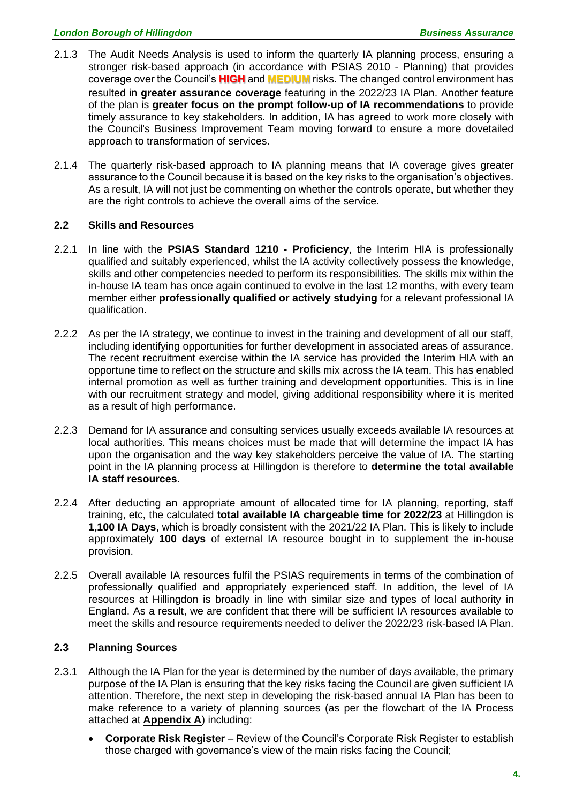- 2.1.3 The Audit Needs Analysis is used to inform the quarterly IA planning process, ensuring a stronger risk-based approach (in accordance with PSIAS 2010 - Planning) that provides coverage over the Council's **HIGH** and **MEDIUM** risks. The changed control environment has resulted in **greater assurance coverage** featuring in the 2022/23 IA Plan. Another feature of the plan is **greater focus on the prompt follow-up of IA recommendations** to provide timely assurance to key stakeholders. In addition, IA has agreed to work more closely with the Council's Business Improvement Team moving forward to ensure a more dovetailed approach to transformation of services.
- 2.1.4 The quarterly risk-based approach to IA planning means that IA coverage gives greater assurance to the Council because it is based on the key risks to the organisation's objectives. As a result, IA will not just be commenting on whether the controls operate, but whether they are the right controls to achieve the overall aims of the service.

#### **2.2 Skills and Resources**

- 2.2.1 In line with the **PSIAS Standard 1210 - Proficiency**, the Interim HIA is professionally qualified and suitably experienced, whilst the IA activity collectively possess the knowledge, skills and other competencies needed to perform its responsibilities. The skills mix within the in-house IA team has once again continued to evolve in the last 12 months, with every team member either **professionally qualified or actively studying** for a relevant professional IA qualification.
- 2.2.2 As per the IA strategy, we continue to invest in the training and development of all our staff, including identifying opportunities for further development in associated areas of assurance. The recent recruitment exercise within the IA service has provided the Interim HIA with an opportune time to reflect on the structure and skills mix across the IA team. This has enabled internal promotion as well as further training and development opportunities. This is in line with our recruitment strategy and model, giving additional responsibility where it is merited as a result of high performance.
- 2.2.3 Demand for IA assurance and consulting services usually exceeds available IA resources at local authorities. This means choices must be made that will determine the impact IA has upon the organisation and the way key stakeholders perceive the value of IA. The starting point in the IA planning process at Hillingdon is therefore to **determine the total available IA staff resources**.
- 2.2.4 After deducting an appropriate amount of allocated time for IA planning, reporting, staff training, etc, the calculated **total available IA chargeable time for 2022/23** at Hillingdon is **1,100 IA Days**, which is broadly consistent with the 2021/22 IA Plan. This is likely to include approximately **100 days** of external IA resource bought in to supplement the in-house provision.
- 2.2.5 Overall available IA resources fulfil the PSIAS requirements in terms of the combination of professionally qualified and appropriately experienced staff. In addition, the level of IA resources at Hillingdon is broadly in line with similar size and types of local authority in England. As a result, we are confident that there will be sufficient IA resources available to meet the skills and resource requirements needed to deliver the 2022/23 risk-based IA Plan.

#### **2.3 Planning Sources**

- 2.3.1 Although the IA Plan for the year is determined by the number of days available, the primary purpose of the IA Plan is ensuring that the key risks facing the Council are given sufficient IA attention. Therefore, the next step in developing the risk-based annual IA Plan has been to make reference to a variety of planning sources (as per the flowchart of the IA Process attached at **Appendix A**) including:
	- **Corporate Risk Register** Review of the Council's Corporate Risk Register to establish those charged with governance's view of the main risks facing the Council;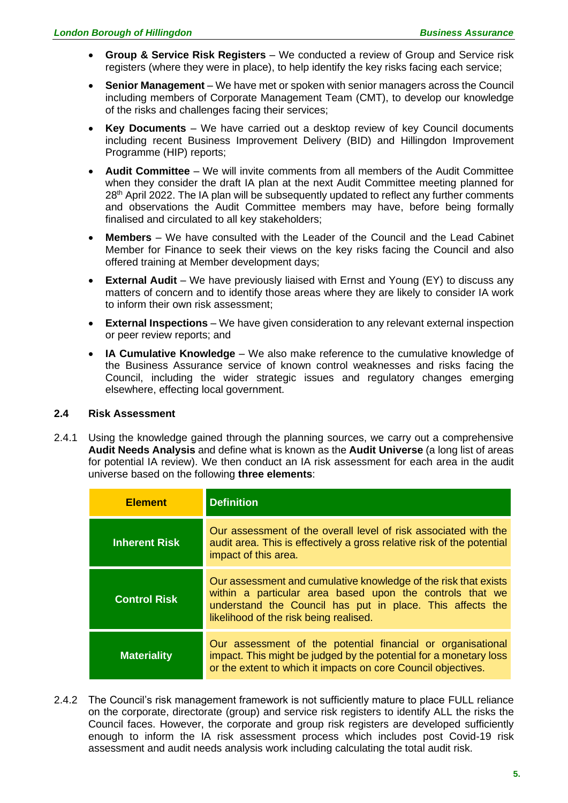- **Group & Service Risk Registers** We conducted a review of Group and Service risk registers (where they were in place), to help identify the key risks facing each service;
- **Senior Management**  We have met or spoken with senior managers across the Council including members of Corporate Management Team (CMT), to develop our knowledge of the risks and challenges facing their services;
- **Key Documents**  We have carried out a desktop review of key Council documents including recent Business Improvement Delivery (BID) and Hillingdon Improvement Programme (HIP) reports;
- **Audit Committee** We will invite comments from all members of the Audit Committee when they consider the draft IA plan at the next Audit Committee meeting planned for 28<sup>th</sup> April 2022. The IA plan will be subsequently updated to reflect any further comments and observations the Audit Committee members may have, before being formally finalised and circulated to all key stakeholders;
- **Members**  We have consulted with the Leader of the Council and the Lead Cabinet Member for Finance to seek their views on the key risks facing the Council and also offered training at Member development days;
- **External Audit** We have previously liaised with Ernst and Young (EY) to discuss any matters of concern and to identify those areas where they are likely to consider IA work to inform their own risk assessment;
- **External Inspections** We have given consideration to any relevant external inspection or peer review reports; and
- **IA Cumulative Knowledge** We also make reference to the cumulative knowledge of the Business Assurance service of known control weaknesses and risks facing the Council, including the wider strategic issues and regulatory changes emerging elsewhere, effecting local government.

#### **2.4 Risk Assessment**

2.4.1 Using the knowledge gained through the planning sources, we carry out a comprehensive **Audit Needs Analysis** and define what is known as the **Audit Universe** (a long list of areas for potential IA review). We then conduct an IA risk assessment for each area in the audit universe based on the following **three elements**:

| <b>Element</b>       | <b>Definition</b>                                                                                                                                                                                                                  |  |
|----------------------|------------------------------------------------------------------------------------------------------------------------------------------------------------------------------------------------------------------------------------|--|
| <b>Inherent Risk</b> | Our assessment of the overall level of risk associated with the<br>audit area. This is effectively a gross relative risk of the potential<br>impact of this area.                                                                  |  |
| <b>Control Risk</b>  | Our assessment and cumulative knowledge of the risk that exists<br>within a particular area based upon the controls that we<br>understand the Council has put in place. This affects the<br>likelihood of the risk being realised. |  |
| <b>Materiality</b>   | Our assessment of the potential financial or organisational<br>impact. This might be judged by the potential for a monetary loss<br>or the extent to which it impacts on core Council objectives.                                  |  |

2.4.2 The Council's risk management framework is not sufficiently mature to place FULL reliance on the corporate, directorate (group) and service risk registers to identify ALL the risks the Council faces. However, the corporate and group risk registers are developed sufficiently enough to inform the IA risk assessment process which includes post Covid-19 risk assessment and audit needs analysis work including calculating the total audit risk.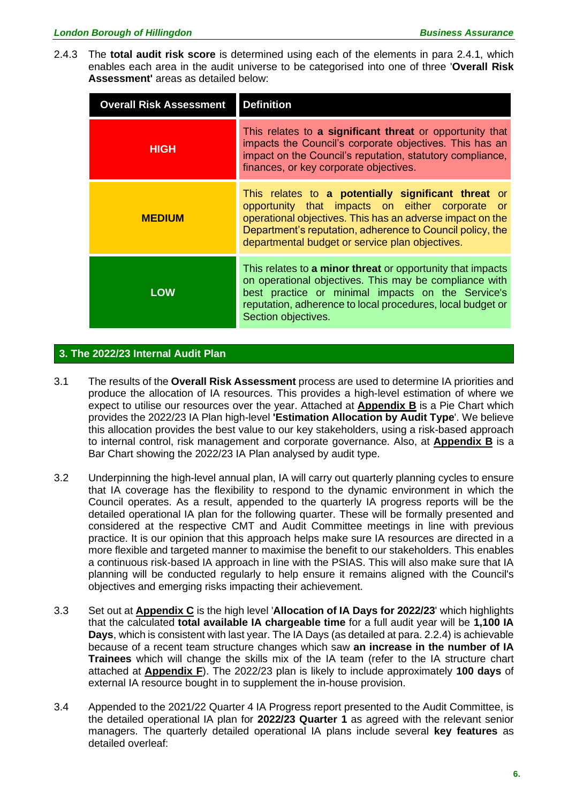2.4.3 The **total audit risk score** is determined using each of the elements in para 2.4.1, which enables each area in the audit universe to be categorised into one of three '**Overall Risk Assessment'** areas as detailed below:

| <b>Overall Risk Assessment</b> | <b>Definition</b>                                                                                                                                                                                                                                                                             |  |
|--------------------------------|-----------------------------------------------------------------------------------------------------------------------------------------------------------------------------------------------------------------------------------------------------------------------------------------------|--|
| <b>HIGH</b>                    | This relates to a significant threat or opportunity that<br>impacts the Council's corporate objectives. This has an<br>impact on the Council's reputation, statutory compliance,<br>finances, or key corporate objectives.                                                                    |  |
| <b>MEDIUM</b>                  | This relates to a potentially significant threat or<br>opportunity that impacts on either corporate<br><b>or</b><br>operational objectives. This has an adverse impact on the<br>Department's reputation, adherence to Council policy, the<br>departmental budget or service plan objectives. |  |
| <b>LOW</b>                     | This relates to a minor threat or opportunity that impacts<br>on operational objectives. This may be compliance with<br>best practice or minimal impacts on the Service's<br>reputation, adherence to local procedures, local budget or<br>Section objectives.                                |  |

#### **3. The 2022/23 Internal Audit Plan**

- 3.1 The results of the **Overall Risk Assessment** process are used to determine IA priorities and produce the allocation of IA resources. This provides a high-level estimation of where we expect to utilise our resources over the year. Attached at **Appendix B** is a Pie Chart which provides the 2022/23 IA Plan high-level **'Estimation Allocation by Audit Type**'. We believe this allocation provides the best value to our key stakeholders, using a risk-based approach to internal control, risk management and corporate governance. Also, at **Appendix B** is a Bar Chart showing the 2022/23 IA Plan analysed by audit type.
- 3.2 Underpinning the high-level annual plan, IA will carry out quarterly planning cycles to ensure that IA coverage has the flexibility to respond to the dynamic environment in which the Council operates. As a result, appended to the quarterly IA progress reports will be the detailed operational IA plan for the following quarter. These will be formally presented and considered at the respective CMT and Audit Committee meetings in line with previous practice. It is our opinion that this approach helps make sure IA resources are directed in a more flexible and targeted manner to maximise the benefit to our stakeholders. This enables a continuous risk-based IA approach in line with the PSIAS. This will also make sure that IA planning will be conducted regularly to help ensure it remains aligned with the Council's objectives and emerging risks impacting their achievement.
- 3.3 Set out at **Appendix C** is the high level '**Allocation of IA Days for 2022/23**' which highlights that the calculated **total available IA chargeable time** for a full audit year will be **1,100 IA Days**, which is consistent with last year. The IA Days (as detailed at para. 2.2.4) is achievable because of a recent team structure changes which saw **an increase in the number of IA Trainees** which will change the skills mix of the IA team (refer to the IA structure chart attached at **Appendix F**). The 2022/23 plan is likely to include approximately **100 days** of external IA resource bought in to supplement the in-house provision.
- 3.4 Appended to the 2021/22 Quarter 4 IA Progress report presented to the Audit Committee, is the detailed operational IA plan for **2022/23 Quarter 1** as agreed with the relevant senior managers. The quarterly detailed operational IA plans include several **key features** as detailed overleaf: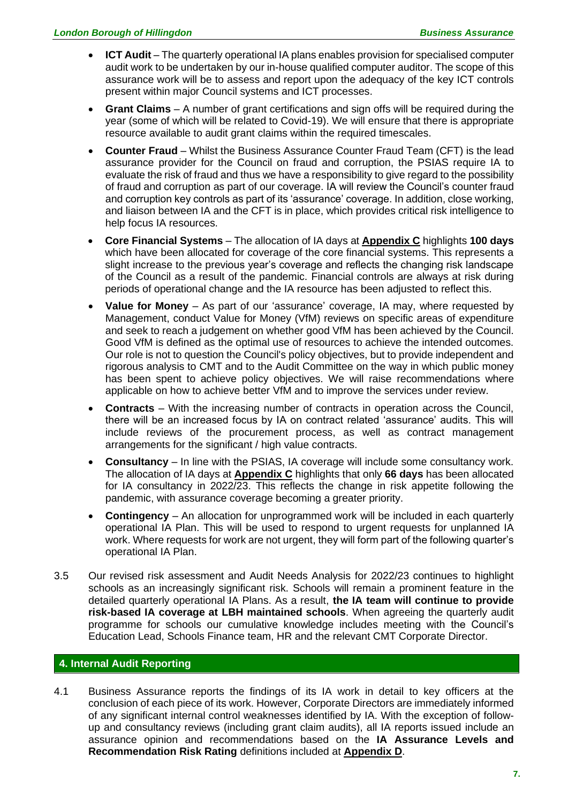- **ICT Audit** The quarterly operational IA plans enables provision for specialised computer audit work to be undertaken by our in-house qualified computer auditor. The scope of this assurance work will be to assess and report upon the adequacy of the key ICT controls present within major Council systems and ICT processes.
- **Grant Claims** A number of grant certifications and sign offs will be required during the year (some of which will be related to Covid-19). We will ensure that there is appropriate resource available to audit grant claims within the required timescales.
- **Counter Fraud** Whilst the Business Assurance Counter Fraud Team (CFT) is the lead assurance provider for the Council on fraud and corruption, the PSIAS require IA to evaluate the risk of fraud and thus we have a responsibility to give regard to the possibility of fraud and corruption as part of our coverage. IA will review the Council's counter fraud and corruption key controls as part of its 'assurance' coverage. In addition, close working, and liaison between IA and the CFT is in place, which provides critical risk intelligence to help focus IA resources.
- **Core Financial Systems** The allocation of IA days at **Appendix C** highlights **100 days** which have been allocated for coverage of the core financial systems. This represents a slight increase to the previous year's coverage and reflects the changing risk landscape of the Council as a result of the pandemic. Financial controls are always at risk during periods of operational change and the IA resource has been adjusted to reflect this.
- **Value for Money** As part of our 'assurance' coverage, IA may, where requested by Management, conduct Value for Money (VfM) reviews on specific areas of expenditure and seek to reach a judgement on whether good VfM has been achieved by the Council. Good VfM is defined as the optimal use of resources to achieve the intended outcomes. Our role is not to question the Council's policy objectives, but to provide independent and rigorous analysis to CMT and to the Audit Committee on the way in which public money has been spent to achieve policy objectives. We will raise recommendations where applicable on how to achieve better VfM and to improve the services under review.
- **Contracts** With the increasing number of contracts in operation across the Council, there will be an increased focus by IA on contract related 'assurance' audits. This will include reviews of the procurement process, as well as contract management arrangements for the significant / high value contracts.
- **Consultancy** In line with the PSIAS, IA coverage will include some consultancy work. The allocation of IA days at **Appendix C** highlights that only **66 days** has been allocated for IA consultancy in 2022/23. This reflects the change in risk appetite following the pandemic, with assurance coverage becoming a greater priority.
- **Contingency** An allocation for unprogrammed work will be included in each quarterly operational IA Plan. This will be used to respond to urgent requests for unplanned IA work. Where requests for work are not urgent, they will form part of the following quarter's operational IA Plan.
- 3.5 Our revised risk assessment and Audit Needs Analysis for 2022/23 continues to highlight schools as an increasingly significant risk. Schools will remain a prominent feature in the detailed quarterly operational IA Plans. As a result, **the IA team will continue to provide risk-based IA coverage at LBH maintained schools**. When agreeing the quarterly audit programme for schools our cumulative knowledge includes meeting with the Council's Education Lead, Schools Finance team, HR and the relevant CMT Corporate Director.

#### **4. Internal Audit Reporting**

4.1 Business Assurance reports the findings of its IA work in detail to key officers at the conclusion of each piece of its work. However, Corporate Directors are immediately informed of any significant internal control weaknesses identified by IA. With the exception of followup and consultancy reviews (including grant claim audits), all IA reports issued include an assurance opinion and recommendations based on the **IA Assurance Levels and Recommendation Risk Rating** definitions included at **Appendix D**.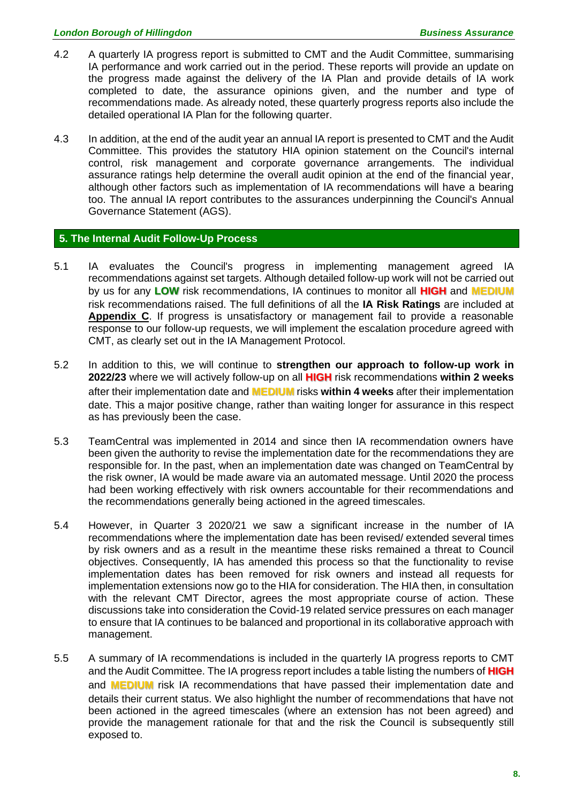- 4.2 A quarterly IA progress report is submitted to CMT and the Audit Committee, summarising IA performance and work carried out in the period. These reports will provide an update on the progress made against the delivery of the IA Plan and provide details of IA work completed to date, the assurance opinions given, and the number and type of recommendations made. As already noted, these quarterly progress reports also include the detailed operational IA Plan for the following quarter.
- 4.3 In addition, at the end of the audit year an annual IA report is presented to CMT and the Audit Committee. This provides the statutory HIA opinion statement on the Council's internal control, risk management and corporate governance arrangements. The individual assurance ratings help determine the overall audit opinion at the end of the financial year, although other factors such as implementation of IA recommendations will have a bearing too. The annual IA report contributes to the assurances underpinning the Council's Annual Governance Statement (AGS).

#### **5. The Internal Audit Follow-Up Process**

- 5.1 IA evaluates the Council's progress in implementing management agreed IA recommendations against set targets. Although detailed follow-up work will not be carried out by us for any **LOW** risk recommendations, IA continues to monitor all **HIGH** and **MEDIUM** risk recommendations raised. The full definitions of all the **IA Risk Ratings** are included at **Appendix C**. If progress is unsatisfactory or management fail to provide a reasonable response to our follow-up requests, we will implement the escalation procedure agreed with CMT, as clearly set out in the IA Management Protocol.
- 5.2 In addition to this, we will continue to **strengthen our approach to follow-up work in 2022/23** where we will actively follow-up on all **HIGH** risk recommendations **within 2 weeks** after their implementation date and **MEDIUM** risks **within 4 weeks** after their implementation date. This a major positive change, rather than waiting longer for assurance in this respect as has previously been the case.
- 5.3 TeamCentral was implemented in 2014 and since then IA recommendation owners have been given the authority to revise the implementation date for the recommendations they are responsible for. In the past, when an implementation date was changed on TeamCentral by the risk owner, IA would be made aware via an automated message. Until 2020 the process had been working effectively with risk owners accountable for their recommendations and the recommendations generally being actioned in the agreed timescales.
- 5.4 However, in Quarter 3 2020/21 we saw a significant increase in the number of IA recommendations where the implementation date has been revised/ extended several times by risk owners and as a result in the meantime these risks remained a threat to Council objectives. Consequently, IA has amended this process so that the functionality to revise implementation dates has been removed for risk owners and instead all requests for implementation extensions now go to the HIA for consideration. The HIA then, in consultation with the relevant CMT Director, agrees the most appropriate course of action. These discussions take into consideration the Covid-19 related service pressures on each manager to ensure that IA continues to be balanced and proportional in its collaborative approach with management.
- 5.5 A summary of IA recommendations is included in the quarterly IA progress reports to CMT and the Audit Committee. The IA progress report includes a table listing the numbers of **HIGH** and **MEDIUM** risk IA recommendations that have passed their implementation date and details their current status. We also highlight the number of recommendations that have not been actioned in the agreed timescales (where an extension has not been agreed) and provide the management rationale for that and the risk the Council is subsequently still exposed to.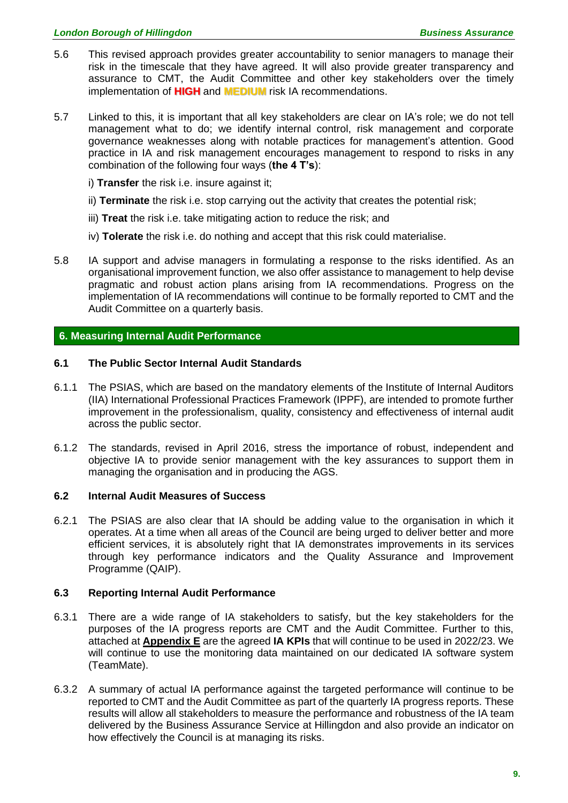- 5.6 This revised approach provides greater accountability to senior managers to manage their risk in the timescale that they have agreed. It will also provide greater transparency and assurance to CMT, the Audit Committee and other key stakeholders over the timely implementation of **HIGH** and **MEDIUM** risk IA recommendations.
- 5.7 Linked to this, it is important that all key stakeholders are clear on IA's role; we do not tell management what to do; we identify internal control, risk management and corporate governance weaknesses along with notable practices for management's attention. Good practice in IA and risk management encourages management to respond to risks in any combination of the following four ways (**the 4 T's**):
	- i) **Transfer** the risk i.e. insure against it;
	- ii) **Terminate** the risk i.e. stop carrying out the activity that creates the potential risk;
	- iii) **Treat** the risk i.e. take mitigating action to reduce the risk; and
	- iv) **Tolerate** the risk i.e. do nothing and accept that this risk could materialise.
- 5.8 IA support and advise managers in formulating a response to the risks identified. As an organisational improvement function, we also offer assistance to management to help devise pragmatic and robust action plans arising from IA recommendations. Progress on the implementation of IA recommendations will continue to be formally reported to CMT and the Audit Committee on a quarterly basis.

#### **6. Measuring Internal Audit Performance**

#### **6.1 The Public Sector Internal Audit Standards**

- 6.1.1 The PSIAS, which are based on the mandatory elements of the Institute of Internal Auditors (IIA) International Professional Practices Framework (IPPF), are intended to promote further improvement in the professionalism, quality, consistency and effectiveness of internal audit across the public sector.
- 6.1.2 The standards, revised in April 2016, stress the importance of robust, independent and objective IA to provide senior management with the key assurances to support them in managing the organisation and in producing the AGS.

#### **6.2 Internal Audit Measures of Success**

6.2.1 The PSIAS are also clear that IA should be adding value to the organisation in which it operates. At a time when all areas of the Council are being urged to deliver better and more efficient services, it is absolutely right that IA demonstrates improvements in its services through key performance indicators and the Quality Assurance and Improvement Programme (QAIP).

#### **6.3 Reporting Internal Audit Performance**

- 6.3.1 There are a wide range of IA stakeholders to satisfy, but the key stakeholders for the purposes of the IA progress reports are CMT and the Audit Committee. Further to this, attached at **Appendix E** are the agreed **IA KPIs** that will continue to be used in 2022/23. We will continue to use the monitoring data maintained on our dedicated IA software system (TeamMate).
- 6.3.2 A summary of actual IA performance against the targeted performance will continue to be reported to CMT and the Audit Committee as part of the quarterly IA progress reports. These results will allow all stakeholders to measure the performance and robustness of the IA team delivered by the Business Assurance Service at Hillingdon and also provide an indicator on how effectively the Council is at managing its risks.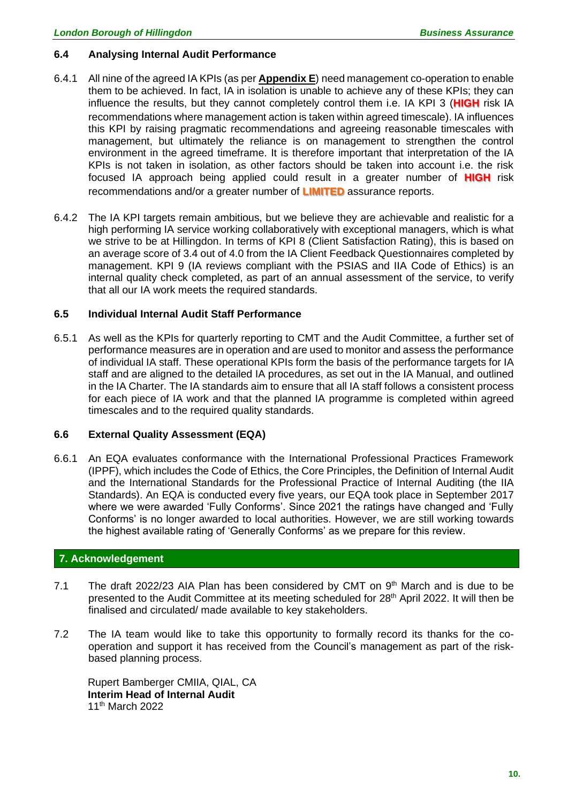#### **6.4 Analysing Internal Audit Performance**

- 6.4.1 All nine of the agreed IA KPIs (as per **Appendix E**) need management co-operation to enable them to be achieved. In fact, IA in isolation is unable to achieve any of these KPIs; they can influence the results, but they cannot completely control them i.e. IA KPI 3 (**HIGH** risk IA recommendations where management action is taken within agreed timescale). IA influences this KPI by raising pragmatic recommendations and agreeing reasonable timescales with management, but ultimately the reliance is on management to strengthen the control environment in the agreed timeframe. It is therefore important that interpretation of the IA KPIs is not taken in isolation, as other factors should be taken into account i.e. the risk focused IA approach being applied could result in a greater number of **HIGH** risk recommendations and/or a greater number of **LIMITED** assurance reports.
- 6.4.2 The IA KPI targets remain ambitious, but we believe they are achievable and realistic for a high performing IA service working collaboratively with exceptional managers, which is what we strive to be at Hillingdon. In terms of KPI 8 (Client Satisfaction Rating), this is based on an average score of 3.4 out of 4.0 from the IA Client Feedback Questionnaires completed by management. KPI 9 (IA reviews compliant with the PSIAS and IIA Code of Ethics) is an internal quality check completed, as part of an annual assessment of the service, to verify that all our IA work meets the required standards.

#### **6.5 Individual Internal Audit Staff Performance**

6.5.1 As well as the KPIs for quarterly reporting to CMT and the Audit Committee, a further set of performance measures are in operation and are used to monitor and assess the performance of individual IA staff. These operational KPIs form the basis of the performance targets for IA staff and are aligned to the detailed IA procedures, as set out in the IA Manual, and outlined in the IA Charter. The IA standards aim to ensure that all IA staff follows a consistent process for each piece of IA work and that the planned IA programme is completed within agreed timescales and to the required quality standards.

#### **6.6 External Quality Assessment (EQA)**

6.6.1 An EQA evaluates conformance with the International Professional Practices Framework (IPPF), which includes the Code of Ethics, the Core Principles, the Definition of Internal Audit and the International Standards for the Professional Practice of Internal Auditing (the IIA Standards). An EQA is conducted every five years, our EQA took place in September 2017 where we were awarded 'Fully Conforms'. Since 2021 the ratings have changed and 'Fully Conforms' is no longer awarded to local authorities. However, we are still working towards the highest available rating of 'Generally Conforms' as we prepare for this review.

#### **7. Acknowledgement**

- 7.1 The draft 2022/23 AIA Plan has been considered by CMT on  $9<sup>th</sup>$  March and is due to be presented to the Audit Committee at its meeting scheduled for 28<sup>th</sup> April 2022. It will then be finalised and circulated/ made available to key stakeholders.
- 7.2 The IA team would like to take this opportunity to formally record its thanks for the cooperation and support it has received from the Council's management as part of the riskbased planning process.

Rupert Bamberger CMIIA, QIAL, CA **Interim Head of Internal Audit** 11 th March 2022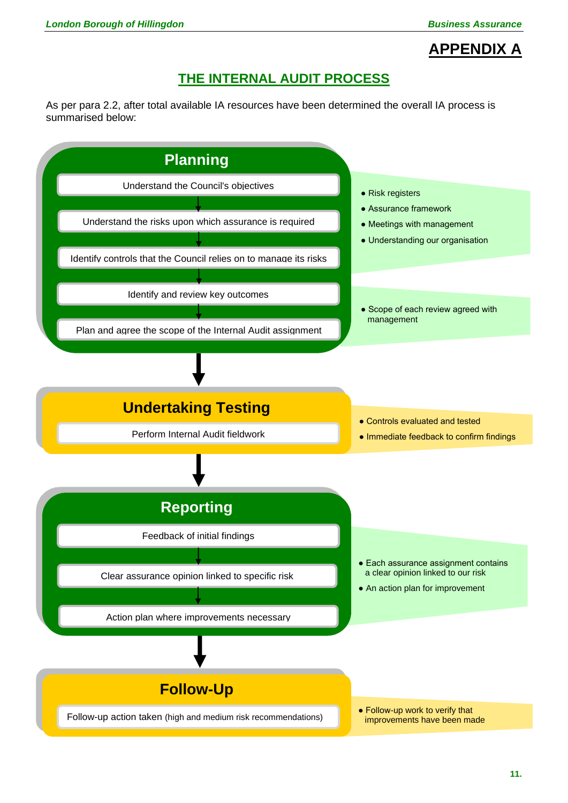# **APPENDIX A**

### **THE INTERNAL AUDIT PROCESS**

As per para 2.2, after total available IA resources have been determined the overall IA process is summarised below:

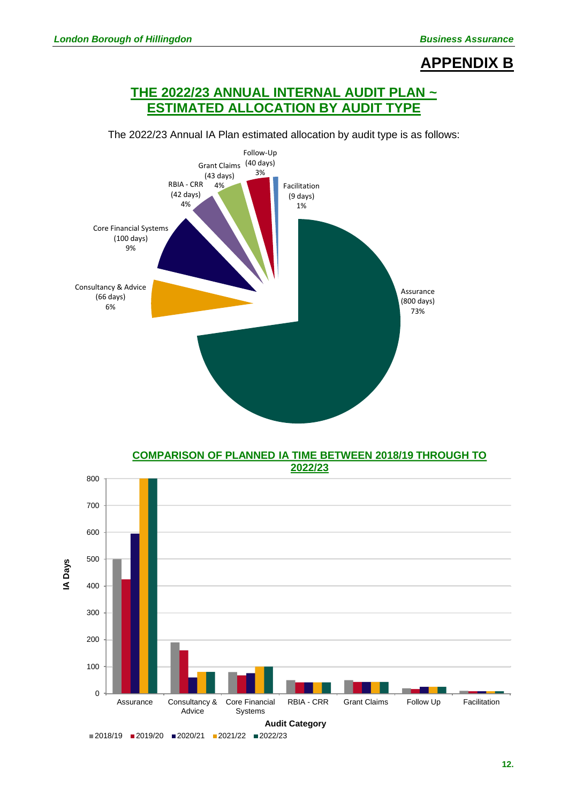### **APPENDIX B**

### **THE 2022/23 ANNUAL INTERNAL AUDIT PLAN ~ ESTIMATED ALLOCATION BY AUDIT TYPE**



The 2022/23 Annual IA Plan estimated allocation by audit type is as follows:

**COMPARISON OF PLANNED IA TIME BETWEEN 2018/19 THROUGH TO 2022/23**

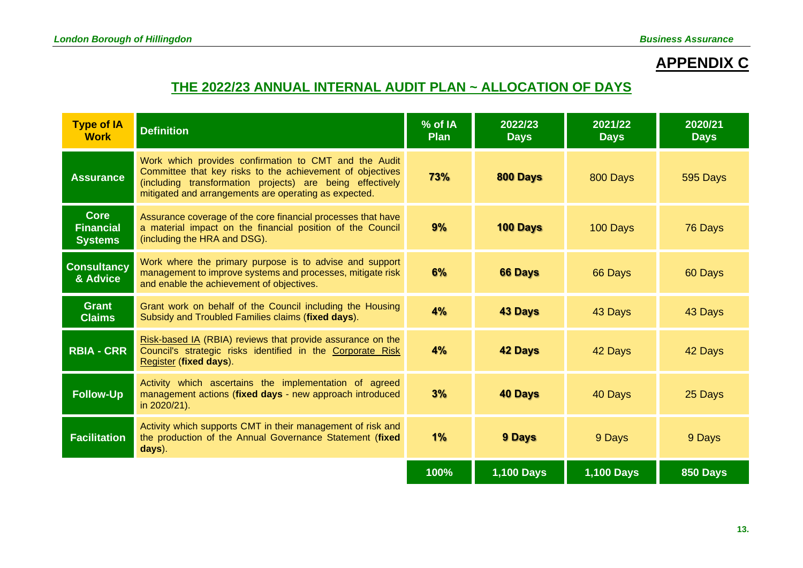# **APPENDIX C**

## **THE 2022/23 ANNUAL INTERNAL AUDIT PLAN ~ ALLOCATION OF DAYS**

| <b>Type of IA</b><br><b>Work</b>                  | <b>Definition</b>                                                                                                                                                                                                                        | % of IA<br><b>Plan</b> | 2022/23<br><b>Days</b> | 2021/22<br><b>Days</b> | 2020/21<br><b>Days</b> |
|---------------------------------------------------|------------------------------------------------------------------------------------------------------------------------------------------------------------------------------------------------------------------------------------------|------------------------|------------------------|------------------------|------------------------|
| <b>Assurance</b>                                  | Work which provides confirmation to CMT and the Audit<br>Committee that key risks to the achievement of objectives<br>(including transformation projects) are being effectively<br>mitigated and arrangements are operating as expected. | 73%                    | 800 Days               | 800 Days               | 595 Days               |
| <b>Core</b><br><b>Financial</b><br><b>Systems</b> | Assurance coverage of the core financial processes that have<br>a material impact on the financial position of the Council<br>(including the HRA and DSG).                                                                               | 9%                     | 100 Days               | 100 Days               | 76 Days                |
| <b>Consultancy</b><br>& Advice                    | Work where the primary purpose is to advise and support<br>management to improve systems and processes, mitigate risk<br>and enable the achievement of objectives.                                                                       | 6%                     | <b>66 Days</b>         | 66 Days                | 60 Days                |
| <b>Grant</b><br><b>Claims</b>                     | Grant work on behalf of the Council including the Housing<br>Subsidy and Troubled Families claims (fixed days).                                                                                                                          | 4%                     | <b>43 Days</b>         | 43 Days                | 43 Days                |
| <b>RBIA - CRR</b>                                 | Risk-based IA (RBIA) reviews that provide assurance on the<br>Council's strategic risks identified in the Corporate Risk<br>Register (fixed days).                                                                                       | 4%                     | <b>42 Days</b>         | 42 Days                | 42 Days                |
| <b>Follow-Up</b>                                  | Activity which ascertains the implementation of agreed<br>management actions (fixed days - new approach introduced<br>in 2020/21).                                                                                                       | 3%                     | <b>40 Days</b>         | 40 Days                | 25 Days                |
| <b>Facilitation</b>                               | Activity which supports CMT in their management of risk and<br>the production of the Annual Governance Statement (fixed<br>days).                                                                                                        | 1%                     | <b>9 Days</b>          | 9 Days                 | 9 Days                 |
|                                                   |                                                                                                                                                                                                                                          | 100%                   | <b>1,100 Days</b>      | <b>1,100 Days</b>      | 850 Days               |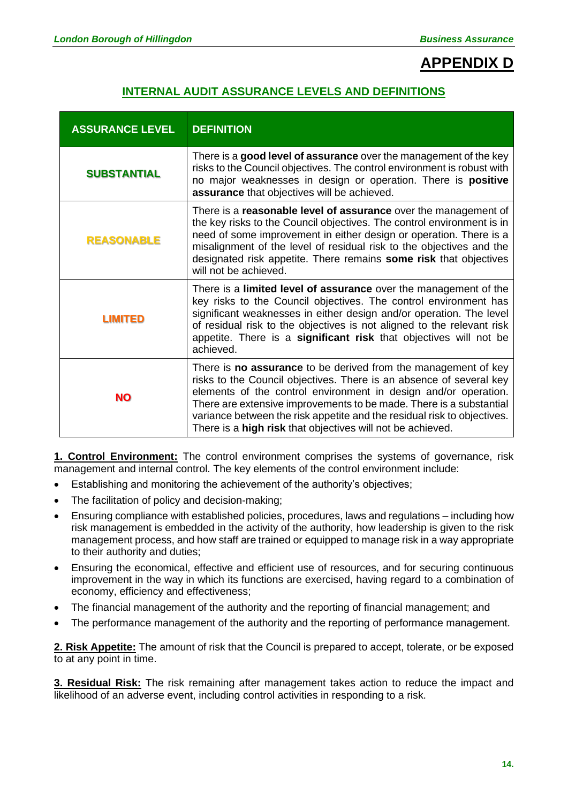## **APPENDIX D**

### **INTERNAL AUDIT ASSURANCE LEVELS AND DEFINITIONS**

| <b>ASSURANCE LEVEL</b> | <b>DEFINITION</b>                                                                                                                                                                                                                                                                                                                                                                                                               |
|------------------------|---------------------------------------------------------------------------------------------------------------------------------------------------------------------------------------------------------------------------------------------------------------------------------------------------------------------------------------------------------------------------------------------------------------------------------|
| <b>SUBSTANTIAL</b>     | There is a good level of assurance over the management of the key<br>risks to the Council objectives. The control environment is robust with<br>no major weaknesses in design or operation. There is positive<br>assurance that objectives will be achieved.                                                                                                                                                                    |
| <b>REASONABLE</b>      | There is a reasonable level of assurance over the management of<br>the key risks to the Council objectives. The control environment is in<br>need of some improvement in either design or operation. There is a<br>misalignment of the level of residual risk to the objectives and the<br>designated risk appetite. There remains some risk that objectives<br>will not be achieved.                                           |
| <b>LIMITED</b>         | There is a <b>limited level of assurance</b> over the management of the<br>key risks to the Council objectives. The control environment has<br>significant weaknesses in either design and/or operation. The level<br>of residual risk to the objectives is not aligned to the relevant risk<br>appetite. There is a significant risk that objectives will not be<br>achieved.                                                  |
| <b>NO</b>              | There is <b>no assurance</b> to be derived from the management of key<br>risks to the Council objectives. There is an absence of several key<br>elements of the control environment in design and/or operation.<br>There are extensive improvements to be made. There is a substantial<br>variance between the risk appetite and the residual risk to objectives.<br>There is a high risk that objectives will not be achieved. |

**1. Control Environment:** The control environment comprises the systems of governance, risk management and internal control. The key elements of the control environment include:

- Establishing and monitoring the achievement of the authority's objectives;
- The facilitation of policy and decision-making;
- Ensuring compliance with established policies, procedures, laws and regulations including how risk management is embedded in the activity of the authority, how leadership is given to the risk management process, and how staff are trained or equipped to manage risk in a way appropriate to their authority and duties;
- Ensuring the economical, effective and efficient use of resources, and for securing continuous improvement in the way in which its functions are exercised, having regard to a combination of economy, efficiency and effectiveness;
- The financial management of the authority and the reporting of financial management; and
- The performance management of the authority and the reporting of performance management.

**2. Risk Appetite:** The amount of risk that the Council is prepared to accept, tolerate, or be exposed to at any point in time.

**3. Residual Risk:** The risk remaining after management takes action to reduce the impact and likelihood of an adverse event, including control activities in responding to a risk.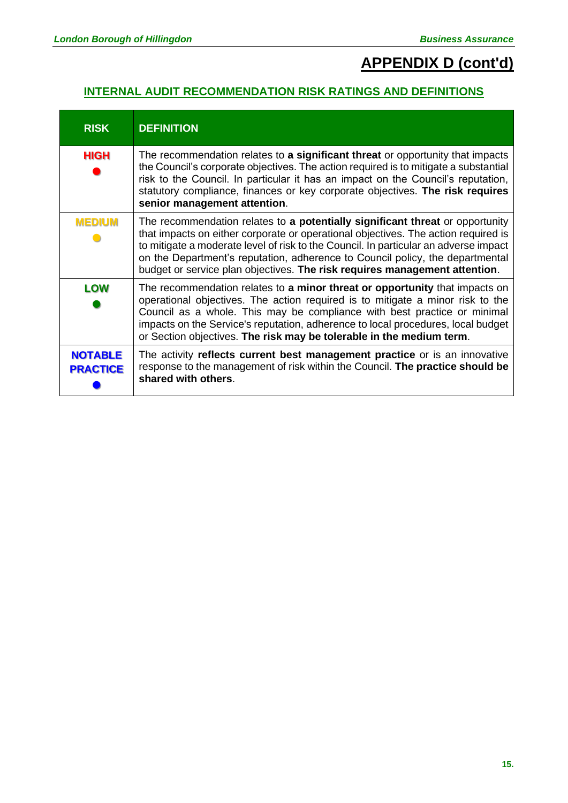# **APPENDIX D (cont'd)**

### **INTERNAL AUDIT RECOMMENDATION RISK RATINGS AND DEFINITIONS**

| <b>RISK</b>                       | <b>DEFINITION</b>                                                                                                                                                                                                                                                                                                                                                                                                          |
|-----------------------------------|----------------------------------------------------------------------------------------------------------------------------------------------------------------------------------------------------------------------------------------------------------------------------------------------------------------------------------------------------------------------------------------------------------------------------|
| HIGH                              | The recommendation relates to a significant threat or opportunity that impacts<br>the Council's corporate objectives. The action required is to mitigate a substantial<br>risk to the Council. In particular it has an impact on the Council's reputation,<br>statutory compliance, finances or key corporate objectives. The risk requires<br>senior management attention.                                                |
| <b>MEDIUM</b>                     | The recommendation relates to a potentially significant threat or opportunity<br>that impacts on either corporate or operational objectives. The action required is<br>to mitigate a moderate level of risk to the Council. In particular an adverse impact<br>on the Department's reputation, adherence to Council policy, the departmental<br>budget or service plan objectives. The risk requires management attention. |
| <b>LOW</b>                        | The recommendation relates to <b>a minor threat or opportunity</b> that impacts on<br>operational objectives. The action required is to mitigate a minor risk to the<br>Council as a whole. This may be compliance with best practice or minimal<br>impacts on the Service's reputation, adherence to local procedures, local budget<br>or Section objectives. The risk may be tolerable in the medium term.               |
| <b>NOTABLE</b><br><b>PRACTICE</b> | The activity reflects current best management practice or is an innovative<br>response to the management of risk within the Council. The practice should be<br>shared with others.                                                                                                                                                                                                                                         |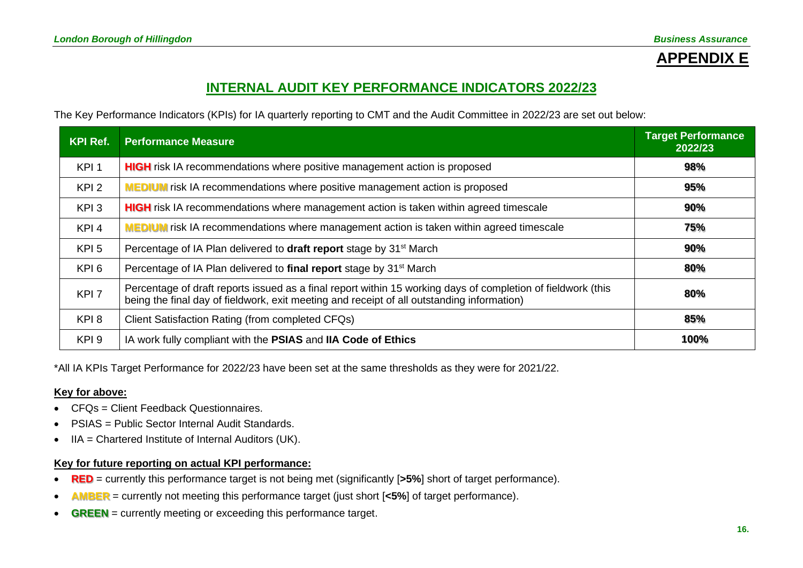# **APPENDIX E**

### **INTERNAL AUDIT KEY PERFORMANCE INDICATORS 2022/23**

The Key Performance Indicators (KPIs) for IA quarterly reporting to CMT and the Audit Committee in 2022/23 are set out below:

| <b>KPI Ref.</b>  | <b>Performance Measure</b>                                                                                                                                                                                 | <b>Target Performance</b><br>2022/23 |
|------------------|------------------------------------------------------------------------------------------------------------------------------------------------------------------------------------------------------------|--------------------------------------|
| KPI <sub>1</sub> | <b>HIGH</b> risk IA recommendations where positive management action is proposed                                                                                                                           | 98%                                  |
| KPI <sub>2</sub> | <b>MEDIUM</b> risk IA recommendations where positive management action is proposed                                                                                                                         | 95%                                  |
| KPI <sub>3</sub> | <b>HIGH</b> risk IA recommendations where management action is taken within agreed timescale                                                                                                               | 90%                                  |
| KPI <sub>4</sub> | <b>MEDIUM</b> risk IA recommendations where management action is taken within agreed timescale                                                                                                             | 75%                                  |
| KPI <sub>5</sub> | Percentage of IA Plan delivered to draft report stage by 31 <sup>st</sup> March                                                                                                                            | 90%                                  |
| KPI <sub>6</sub> | Percentage of IA Plan delivered to final report stage by 31 <sup>st</sup> March                                                                                                                            | 80%                                  |
| KPI <sub>7</sub> | Percentage of draft reports issued as a final report within 15 working days of completion of fieldwork (this<br>being the final day of fieldwork, exit meeting and receipt of all outstanding information) | 80%                                  |
| KPI8             | Client Satisfaction Rating (from completed CFQs)                                                                                                                                                           | 85%                                  |
| KPI <sub>9</sub> | IA work fully compliant with the PSIAS and IIA Code of Ethics                                                                                                                                              | 100%                                 |

\*All IA KPIs Target Performance for 2022/23 have been set at the same thresholds as they were for 2021/22.

#### **Key for above:**

- CFOs = Client Feedback Questionnaires.
- PSIAS = Public Sector Internal Audit Standards.
- IIA = Chartered Institute of Internal Auditors (UK).

#### **Key for future reporting on actual KPI performance:**

- **RED** = currently this performance target is not being met (significantly [**>5%**] short of target performance).
- **AMBER** = currently not meeting this performance target (just short [**<5%**] of target performance).
- **GREEN** = currently meeting or exceeding this performance target.